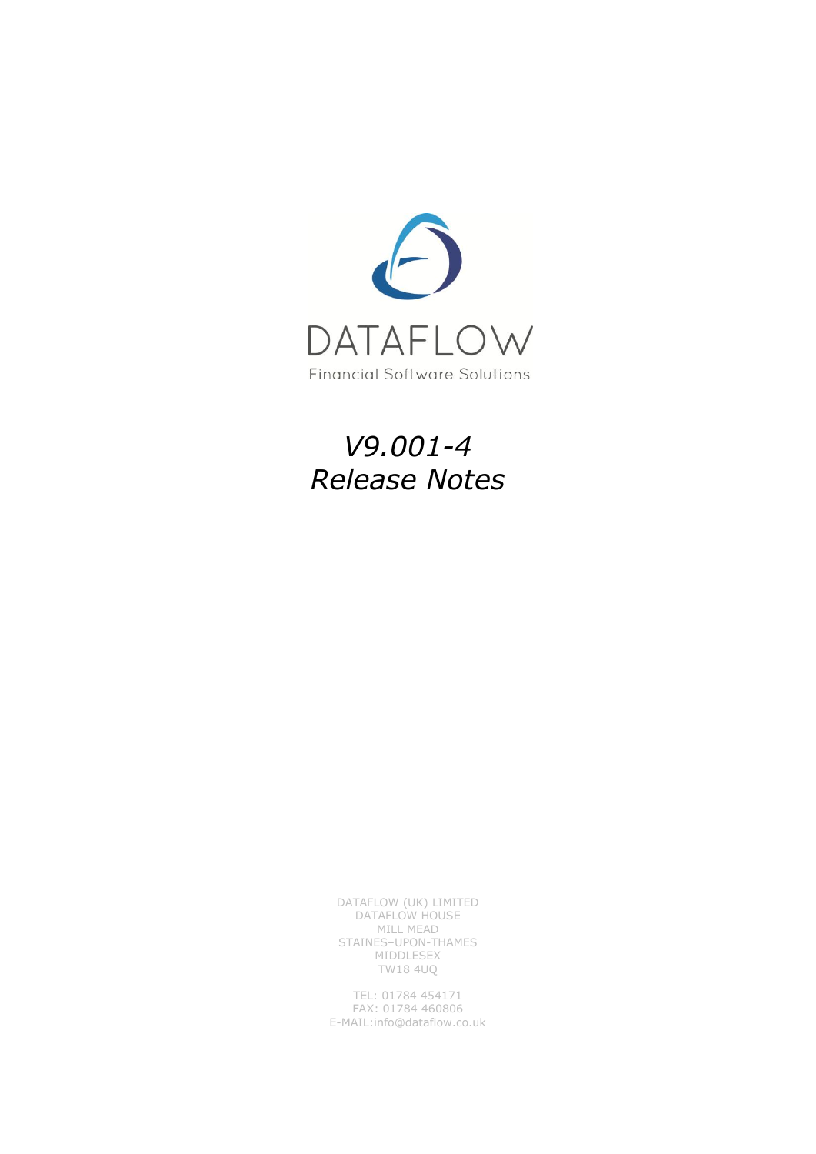

# *V9.001-4 Release Notes*

DATAFLOW (UK) LIMITED DATAFLOW HOUSE MILL MEAD STAINES–UPON-THAMES MIDDLESEX TW18 4UQ

TEL: 01784 454171 FAX: 01784 460806 E-MAIL:info@dataflow.co.uk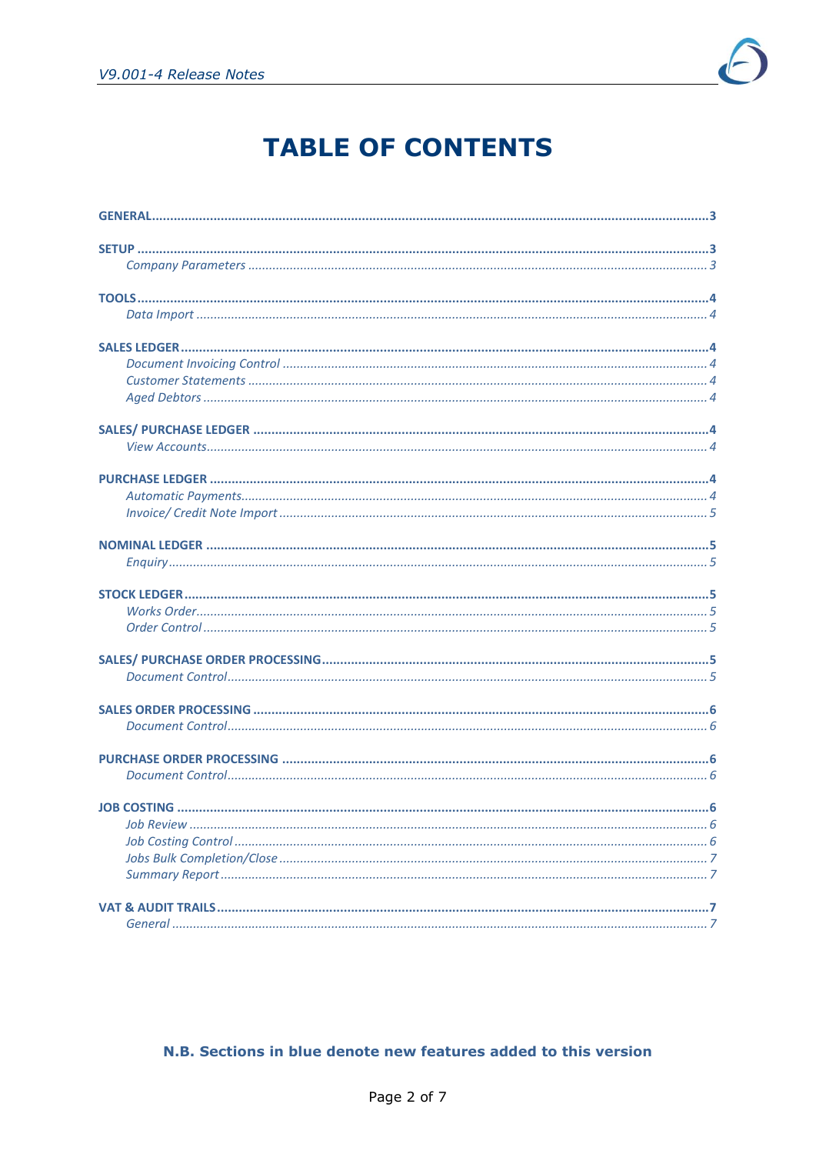

# **TABLE OF CONTENTS**

#### N.B. Sections in blue denote new features added to this version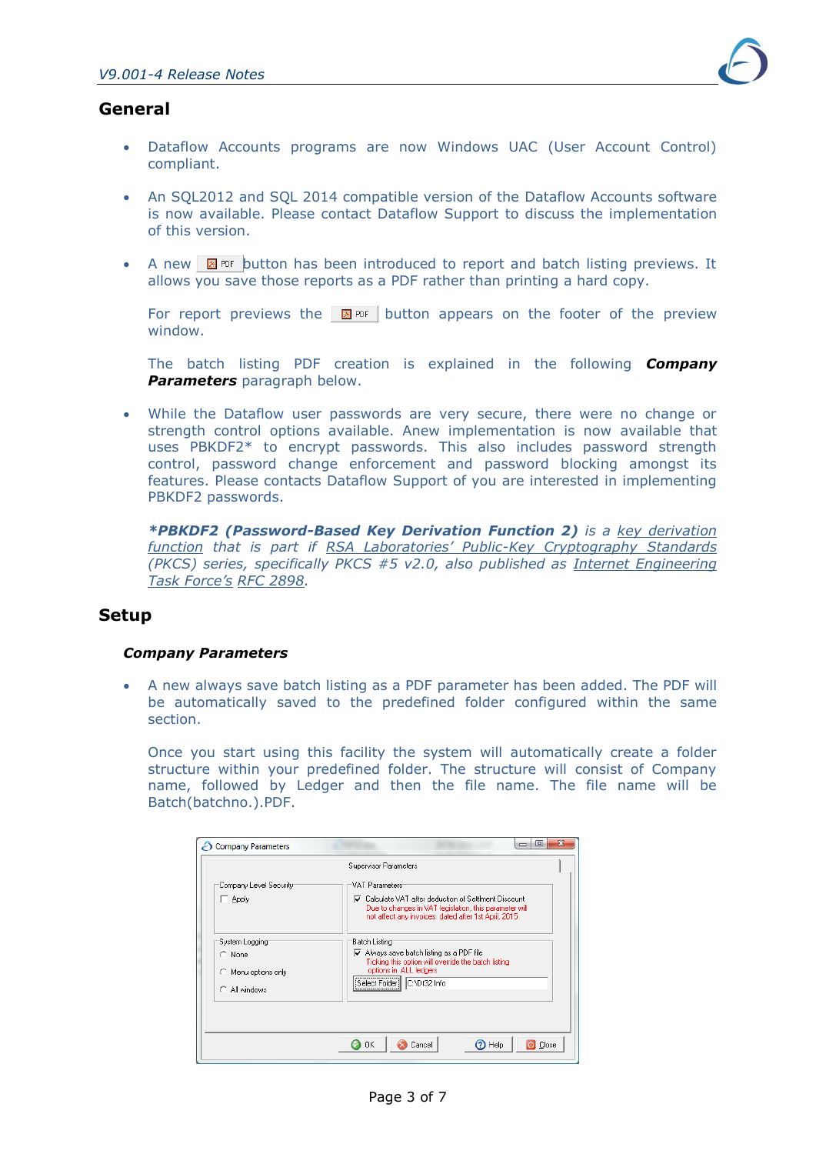

# <span id="page-2-0"></span>**General**

- Dataflow Accounts programs are now Windows UAC (User Account Control) compliant.
- An SQL2012 and SQL 2014 compatible version of the Dataflow Accounts software is now available. Please contact Dataflow Support to discuss the implementation of this version.
- A new  $\boxtimes$  PDF button has been introduced to report and batch listing previews. It allows you save those reports as a PDF rather than printing a hard copy.

For report previews the  $\boxtimes$  PDF button appears on the footer of the preview window.

The batch listing PDF creation is explained in the following *Company Parameters* paragraph below.

 While the Dataflow user passwords are very secure, there were no change or strength control options available. Anew implementation is now available that uses PBKDF2\* to encrypt passwords. This also includes password strength control, password change enforcement and password blocking amongst its features. Please contacts Dataflow Support of you are interested in implementing PBKDF2 passwords.

*\*PBKDF2 (Password-Based Key Derivation Function 2) is a [key derivation](https://en.wikipedia.org/wiki/Key_derivation_function)  [function](https://en.wikipedia.org/wiki/Key_derivation_function) that is part if RSA Laboratories' Public[-Key Cryptography Standards](https://en.wikipedia.org/wiki/RSA_Laboratories) (PKCS) series, specifically PKCS #5 v2.0, also published as [Internet Engineering](https://en.wikipedia.org/wiki/Internet_Engineering_Task_Force)  [Task Force's](https://en.wikipedia.org/wiki/Internet_Engineering_Task_Force) [RFC 2898.](https://tools.ietf.org/html/rfc2898)* 

## <span id="page-2-1"></span>**Setup**

#### <span id="page-2-2"></span>*Company Parameters*

 A new always save batch listing as a PDF parameter has been added. The PDF will be automatically saved to the predefined folder configured within the same section.

Once you start using this facility the system will automatically create a folder structure within your predefined folder. The structure will consist of Company name, followed by Ledger and then the file name. The file name will be Batch(batchno.).PDF.

| Company Parameters                                                       | lo                                                                                                                                                                                                                                    |
|--------------------------------------------------------------------------|---------------------------------------------------------------------------------------------------------------------------------------------------------------------------------------------------------------------------------------|
|                                                                          | Supervisor Parameters                                                                                                                                                                                                                 |
| Company Level Security<br>Apply                                          | VAT Parameters<br><b>▽</b> Calculate VAT after deduction of SettIment Discount<br>Due to changes in VAT legislation, this parameter will<br>not affect any invoices dated after 1st April, 2015                                       |
| System Logging<br>$\cap$ None<br>Menu options only<br>o<br>C All windows | Batch Listing<br>$\overline{\mathsf{v}}$ Always save batch listing as a PDF file<br>Ticking this option will override the batch listing<br>options in ALL ledgers<br>,,,,,,,,,,,,,,,,,,,,,,,,,,,,,,,<br>C:\Df32 Info<br>Select Folder |
|                                                                          | $(2)$ Help<br>OΚ<br>O Close<br>Cancel                                                                                                                                                                                                 |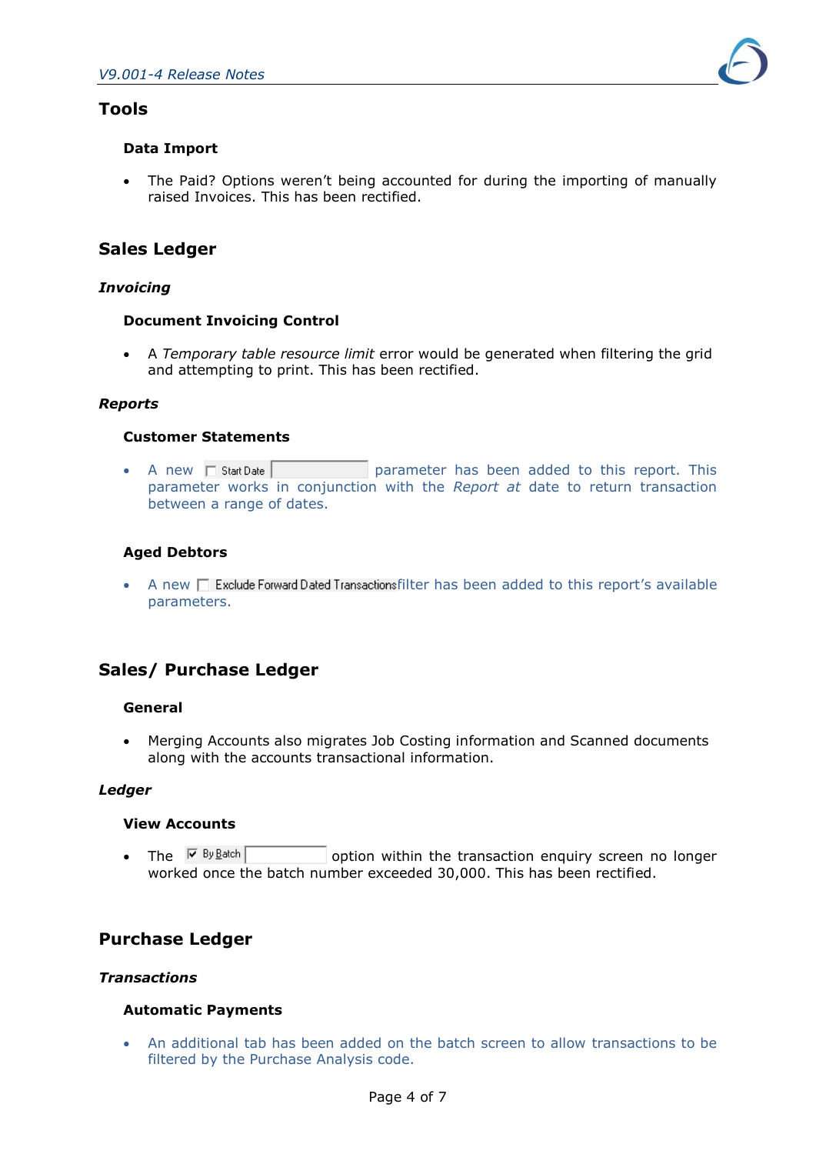## <span id="page-3-0"></span>**Tools**

### <span id="page-3-1"></span>**Data Import**

 The Paid? Options weren't being accounted for during the importing of manually raised Invoices. This has been rectified.

## <span id="page-3-2"></span>**Sales Ledger**

#### *Invoicing*

#### <span id="page-3-3"></span>**Document Invoicing Control**

 A *Temporary table resource limit* error would be generated when filtering the grid and attempting to print. This has been rectified.

#### *Reports*

#### <span id="page-3-4"></span>**Customer Statements**

• A new  $\Box$  Start Date **parameter** has been added to this report. This parameter works in conjunction with the *Report at* date to return transaction between a range of dates.

## <span id="page-3-5"></span>**Aged Debtors**

 $\bullet$  A new  $\Box$  Exclude Forward Dated Transactions filter has been added to this report's available parameters.

# <span id="page-3-6"></span>**Sales/ Purchase Ledger**

#### **General**

 Merging Accounts also migrates Job Costing information and Scanned documents along with the accounts transactional information.

## *Ledger*

#### <span id="page-3-7"></span>**View Accounts**

• The  $\overline{M}$  By Batch  $\overline{M}$  option within the transaction enquiry screen no longer worked once the batch number exceeded 30,000. This has been rectified.

## <span id="page-3-8"></span>**Purchase Ledger**

#### *Transactions*

#### <span id="page-3-9"></span>**Automatic Payments**

 An additional tab has been added on the batch screen to allow transactions to be filtered by the Purchase Analysis code.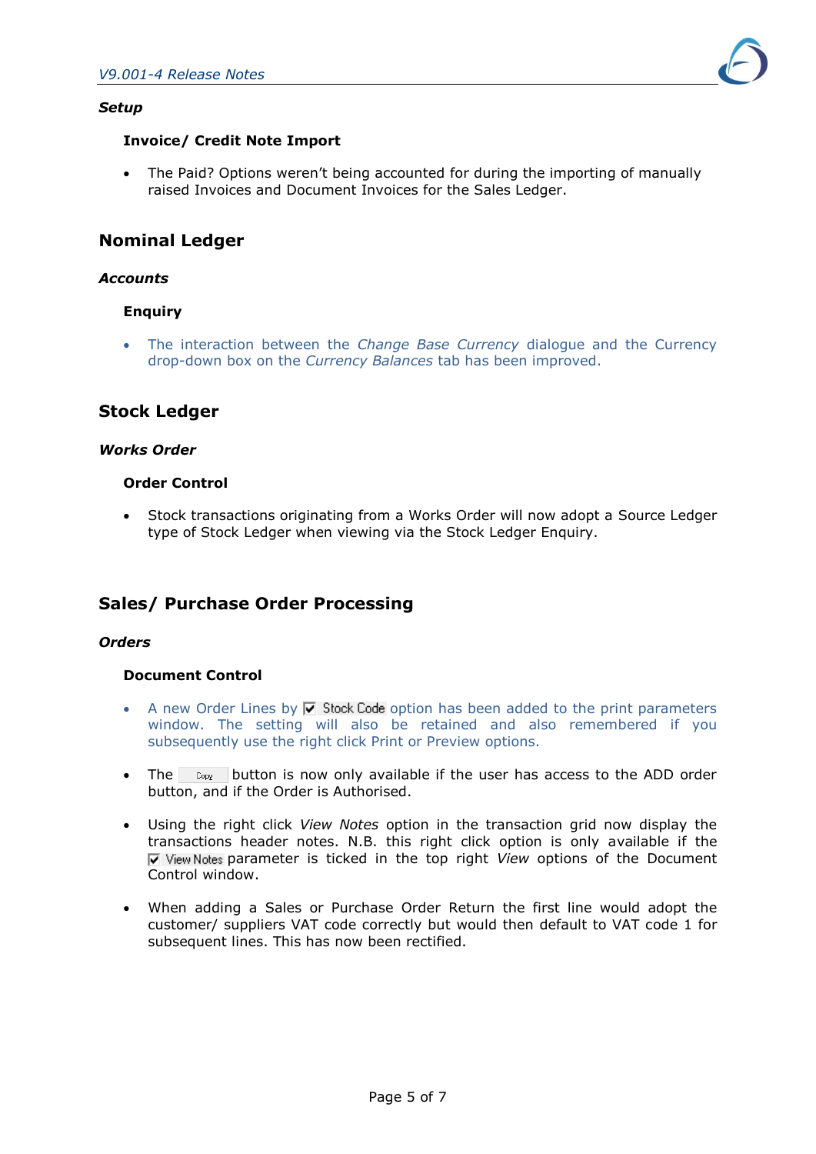

#### <span id="page-4-0"></span>**Invoice/ Credit Note Import**

 The Paid? Options weren't being accounted for during the importing of manually raised Invoices and Document Invoices for the Sales Ledger.

## <span id="page-4-1"></span>**Nominal Ledger**

#### *Accounts*

#### <span id="page-4-2"></span>**Enquiry**

 The interaction between the *Change Base Currency* dialogue and the Currency drop-down box on the *Currency Balances* tab has been improved.

## <span id="page-4-3"></span>**Stock Ledger**

#### <span id="page-4-4"></span>*Works Order*

#### <span id="page-4-5"></span>**Order Control**

<span id="page-4-6"></span> Stock transactions originating from a Works Order will now adopt a Source Ledger type of Stock Ledger when viewing via the Stock Ledger Enquiry.

# **Sales/ Purchase Order Processing**

#### *Orders*

#### <span id="page-4-7"></span>**Document Control**

- A new Order Lines by  $\overline{V}$  Stock Code option has been added to the print parameters window. The setting will also be retained and also remembered if you subsequently use the right click Print or Preview options.
- The  $C_{opy}$  button is now only available if the user has access to the ADD order button, and if the Order is Authorised.
- Using the right click *View Notes* option in the transaction grid now display the transactions header notes. N.B. this right click option is only available if the *Notes* parameter is ticked in the top right *View* options of the Document Control window.
- <span id="page-4-8"></span> When adding a Sales or Purchase Order Return the first line would adopt the customer/ suppliers VAT code correctly but would then default to VAT code 1 for subsequent lines. This has now been rectified.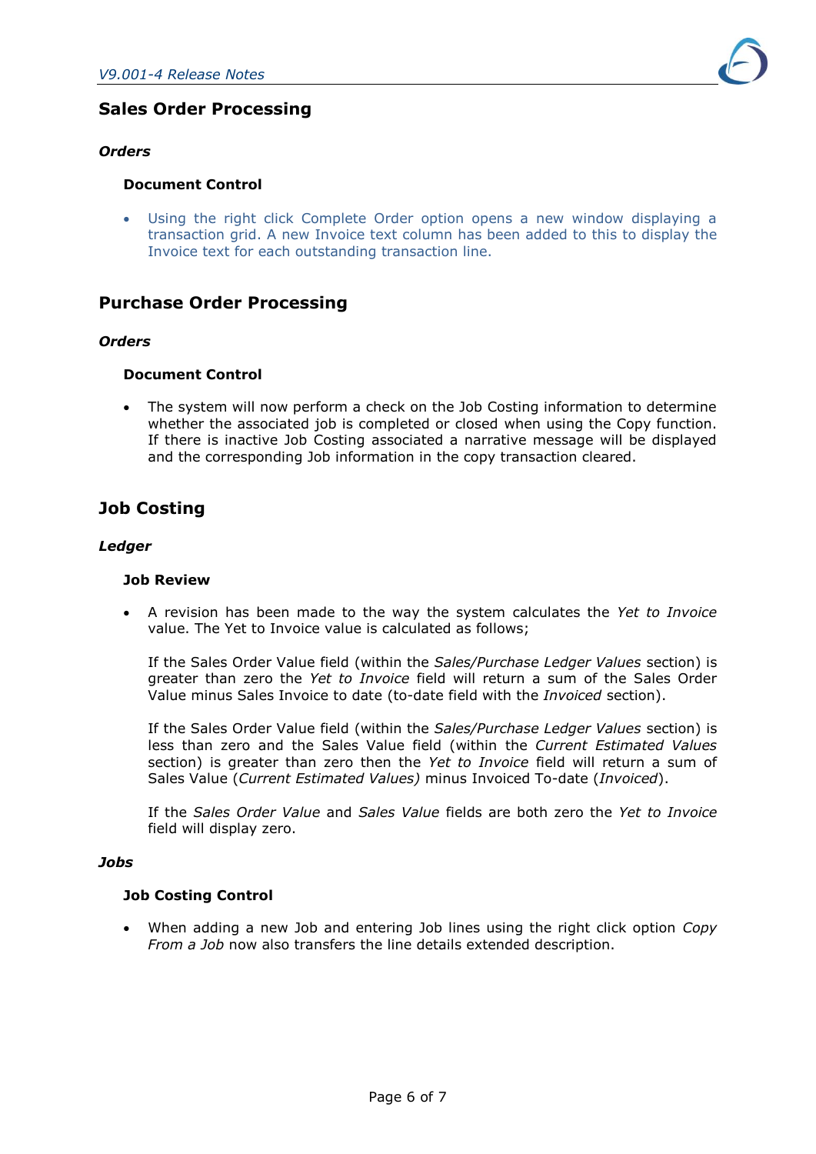

# **Sales Order Processing**

#### *Orders*

#### <span id="page-5-0"></span>**Document Control**

 Using the right click Complete Order option opens a new window displaying a transaction grid. A new Invoice text column has been added to this to display the Invoice text for each outstanding transaction line.

## <span id="page-5-1"></span>**Purchase Order Processing**

#### *Orders*

#### <span id="page-5-2"></span>**Document Control**

 The system will now perform a check on the Job Costing information to determine whether the associated job is completed or closed when using the Copy function. If there is inactive Job Costing associated a narrative message will be displayed and the corresponding Job information in the copy transaction cleared.

# <span id="page-5-3"></span>**Job Costing**

#### *Ledger*

#### <span id="page-5-4"></span>**Job Review**

 A revision has been made to the way the system calculates the *Yet to Invoice* value. The Yet to Invoice value is calculated as follows;

If the Sales Order Value field (within the *Sales/Purchase Ledger Values* section) is greater than zero the *Yet to Invoice* field will return a sum of the Sales Order Value minus Sales Invoice to date (to-date field with the *Invoiced* section).

If the Sales Order Value field (within the *Sales/Purchase Ledger Values* section) is less than zero and the Sales Value field (within the *Current Estimated Values* section) is greater than zero then the *Yet to Invoice* field will return a sum of Sales Value (*Current Estimated Values)* minus Invoiced To-date (*Invoiced*).

If the *Sales Order Value* and *Sales Value* fields are both zero the *Yet to Invoice* field will display zero.

#### *Jobs*

#### <span id="page-5-5"></span>**Job Costing Control**

 When adding a new Job and entering Job lines using the right click option *Copy From a Job* now also transfers the line details extended description.